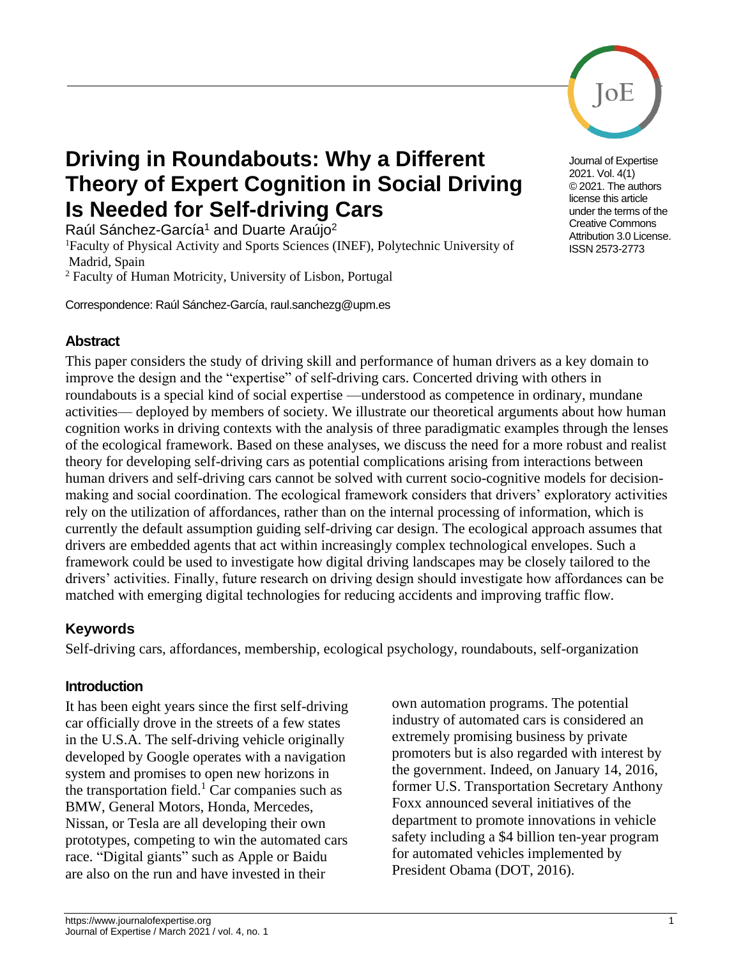

Journal of Expertise 2021. Vol. 4(1) © 2021. The authors license this article under the terms of the Creative Commons Attribution 3.0 License. ISSN 2573-2773

# **Driving in Roundabouts: Why a Different Theory of Expert Cognition in Social Driving Is Needed for Self-driving Cars**

Raúl Sánchez-García<sup>1</sup> and Duarte Araújo<sup>2</sup>

<sup>1</sup>Faculty of Physical Activity and Sports Sciences (INEF), Polytechnic University of Madrid, Spain

<sup>2</sup> Faculty of Human Motricity, University of Lisbon, Portugal

Correspondence: Raúl Sánchez-García, raul.sanchezg@upm.es

#### **Abstract**

This paper considers the study of driving skill and performance of human drivers as a key domain to improve the design and the "expertise" of self-driving cars. Concerted driving with others in roundabouts is a special kind of social expertise —understood as competence in ordinary, mundane activities— deployed by members of society. We illustrate our theoretical arguments about how human cognition works in driving contexts with the analysis of three paradigmatic examples through the lenses of the ecological framework. Based on these analyses, we discuss the need for a more robust and realist theory for developing self-driving cars as potential complications arising from interactions between human drivers and self-driving cars cannot be solved with current socio-cognitive models for decisionmaking and social coordination. The ecological framework considers that drivers' exploratory activities rely on the utilization of affordances, rather than on the internal processing of information, which is currently the default assumption guiding self-driving car design. The ecological approach assumes that drivers are embedded agents that act within increasingly complex technological envelopes. Such a framework could be used to investigate how digital driving landscapes may be closely tailored to the drivers' activities. Finally, future research on driving design should investigate how affordances can be matched with emerging digital technologies for reducing accidents and improving traffic flow.

# **Keywords**

Self-driving cars, affordances, membership, ecological psychology, roundabouts, self-organization

### **Introduction**

It has been eight years since the first self-driving car officially drove in the streets of a few states in the U.S.A. The self-driving vehicle originally developed by Google operates with a navigation system and promises to open new horizons in the transportation field.<sup>1</sup> Car companies such as BMW, General Motors, Honda, Mercedes, Nissan, or Tesla are all developing their own prototypes, competing to win the automated cars race. "Digital giants" such as Apple or Baidu are also on the run and have invested in their

own automation programs. The potential industry of automated cars is considered an extremely promising business by private promoters but is also regarded with interest by the government. Indeed, on January 14, 2016, former U.S. Transportation Secretary Anthony Foxx announced several initiatives of the department to promote innovations in vehicle safety including a \$4 billion ten-year program for automated vehicles implemented by President Obama (DOT, 2016).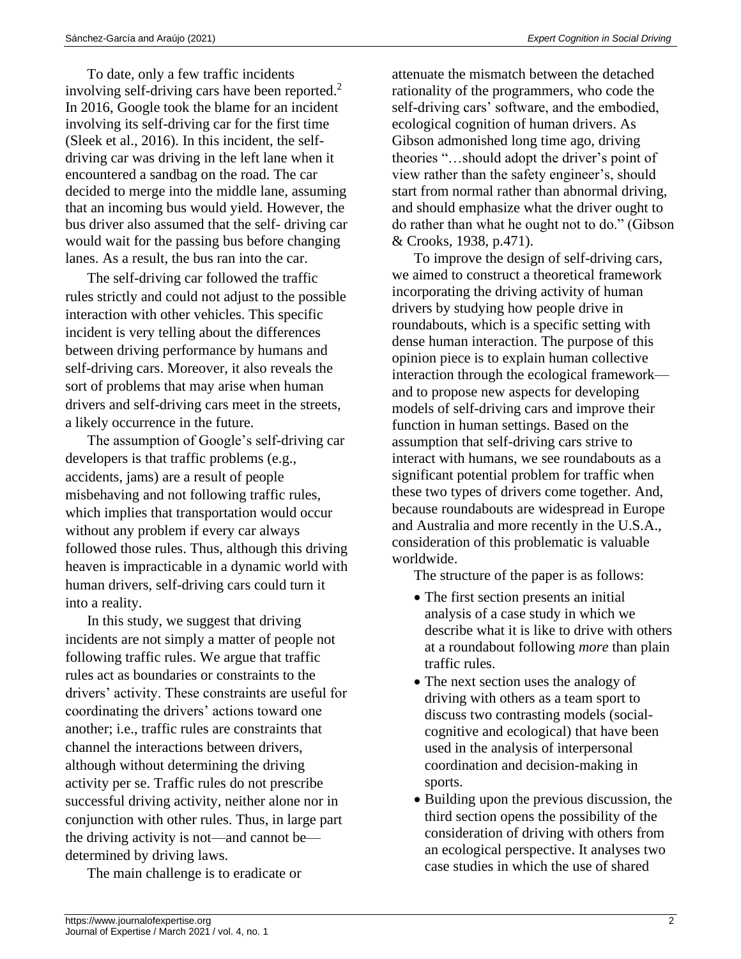To date, only a few traffic incidents involving self-driving cars have been reported.<sup>2</sup> In 2016, Google took the blame for an incident involving its self-driving car for the first time (Sleek et al., 2016). In this incident, the selfdriving car was driving in the left lane when it encountered a sandbag on the road. The car decided to merge into the middle lane, assuming that an incoming bus would yield. However, the bus driver also assumed that the self- driving car would wait for the passing bus before changing lanes. As a result, the bus ran into the car.

The self-driving car followed the traffic rules strictly and could not adjust to the possible interaction with other vehicles. This specific incident is very telling about the differences between driving performance by humans and self-driving cars. Moreover, it also reveals the sort of problems that may arise when human drivers and self-driving cars meet in the streets, a likely occurrence in the future.

The assumption of Google's self-driving car developers is that traffic problems (e.g., accidents, jams) are a result of people misbehaving and not following traffic rules, which implies that transportation would occur without any problem if every car always followed those rules. Thus, although this driving heaven is impracticable in a dynamic world with human drivers, self-driving cars could turn it into a reality.

In this study, we suggest that driving incidents are not simply a matter of people not following traffic rules. We argue that traffic rules act as boundaries or constraints to the drivers' activity. These constraints are useful for coordinating the drivers' actions toward one another; i.e., traffic rules are constraints that channel the interactions between drivers, although without determining the driving activity per se. Traffic rules do not prescribe successful driving activity, neither alone nor in conjunction with other rules. Thus, in large part the driving activity is not—and cannot be determined by driving laws.

The main challenge is to eradicate or

attenuate the mismatch between the detached rationality of the programmers, who code the self-driving cars' software, and the embodied, ecological cognition of human drivers. As Gibson admonished long time ago, driving theories "…should adopt the driver's point of view rather than the safety engineer's, should start from normal rather than abnormal driving, and should emphasize what the driver ought to do rather than what he ought not to do." (Gibson & Crooks, 1938, p.471).

To improve the design of self-driving cars, we aimed to construct a theoretical framework incorporating the driving activity of human drivers by studying how people drive in roundabouts, which is a specific setting with dense human interaction. The purpose of this opinion piece is to explain human collective interaction through the ecological framework and to propose new aspects for developing models of self-driving cars and improve their function in human settings. Based on the assumption that self-driving cars strive to interact with humans, we see roundabouts as a significant potential problem for traffic when these two types of drivers come together. And, because roundabouts are widespread in Europe and Australia and more recently in the U.S.A., consideration of this problematic is valuable worldwide.

The structure of the paper is as follows:

- The first section presents an initial analysis of a case study in which we describe what it is like to drive with others at a roundabout following *more* than plain traffic rules.
- The next section uses the analogy of driving with others as a team sport to discuss two contrasting models (socialcognitive and ecological) that have been used in the analysis of interpersonal coordination and decision-making in sports.
- Building upon the previous discussion, the third section opens the possibility of the consideration of driving with others from an ecological perspective. It analyses two case studies in which the use of shared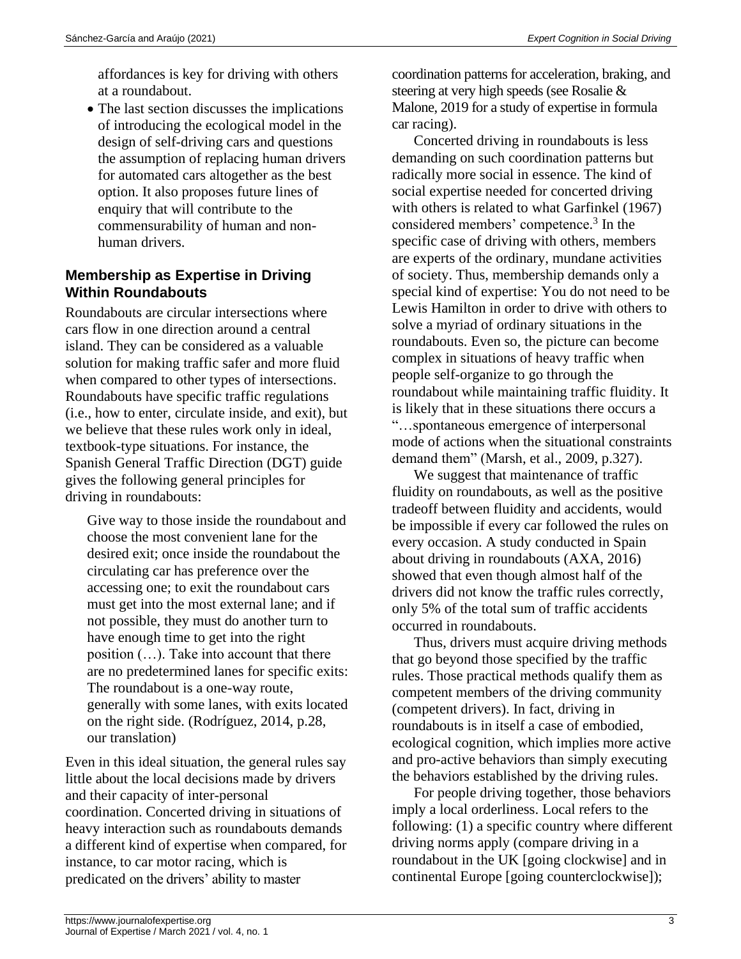affordances is key for driving with others at a roundabout.

• The last section discusses the implications of introducing the ecological model in the design of self-driving cars and questions the assumption of replacing human drivers for automated cars altogether as the best option. It also proposes future lines of enquiry that will contribute to the commensurability of human and nonhuman drivers.

# **Membership as Expertise in Driving Within Roundabouts**

Roundabouts are circular intersections where cars flow in one direction around a central island. They can be considered as a valuable solution for making traffic safer and more fluid when compared to other types of intersections. Roundabouts have specific traffic regulations (i.e., how to enter, circulate inside, and exit), but we believe that these rules work only in ideal, textbook-type situations. For instance, the Spanish General Traffic Direction (DGT) guide gives the following general principles for driving in roundabouts:

Give way to those inside the roundabout and choose the most convenient lane for the desired exit; once inside the roundabout the circulating car has preference over the accessing one; to exit the roundabout cars must get into the most external lane; and if not possible, they must do another turn to have enough time to get into the right position (…). Take into account that there are no predetermined lanes for specific exits: The roundabout is a one-way route, generally with some lanes, with exits located on the right side. (Rodríguez, 2014, p.28, our translation)

Even in this ideal situation, the general rules say little about the local decisions made by drivers and their capacity of inter-personal coordination. Concerted driving in situations of heavy interaction such as roundabouts demands a different kind of expertise when compared, for instance, to car motor racing, which is predicated on the drivers' ability to master

coordination patterns for acceleration, braking, and steering at very high speeds (see Rosalie & Malone, 2019 for a study of expertise in formula car racing).

Concerted driving in roundabouts is less demanding on such coordination patterns but radically more social in essence. The kind of social expertise needed for concerted driving with others is related to what Garfinkel (1967) considered members' competence. 3 In the specific case of driving with others, members are experts of the ordinary, mundane activities of society. Thus, membership demands only a special kind of expertise: You do not need to be Lewis Hamilton in order to drive with others to solve a myriad of ordinary situations in the roundabouts. Even so, the picture can become complex in situations of heavy traffic when people self-organize to go through the roundabout while maintaining traffic fluidity. It is likely that in these situations there occurs a "…spontaneous emergence of interpersonal mode of actions when the situational constraints demand them" (Marsh, et al., 2009, p.327).

We suggest that maintenance of traffic fluidity on roundabouts, as well as the positive tradeoff between fluidity and accidents, would be impossible if every car followed the rules on every occasion. A study conducted in Spain about driving in roundabouts (AXA, 2016) showed that even though almost half of the drivers did not know the traffic rules correctly, only 5% of the total sum of traffic accidents occurred in roundabouts.

Thus, drivers must acquire driving methods that go beyond those specified by the traffic rules. Those practical methods qualify them as competent members of the driving community (competent drivers). In fact, driving in roundabouts is in itself a case of embodied, ecological cognition, which implies more active and pro-active behaviors than simply executing the behaviors established by the driving rules.

For people driving together, those behaviors imply a local orderliness. Local refers to the following: (1) a specific country where different driving norms apply (compare driving in a roundabout in the UK [going clockwise] and in continental Europe [going counterclockwise]);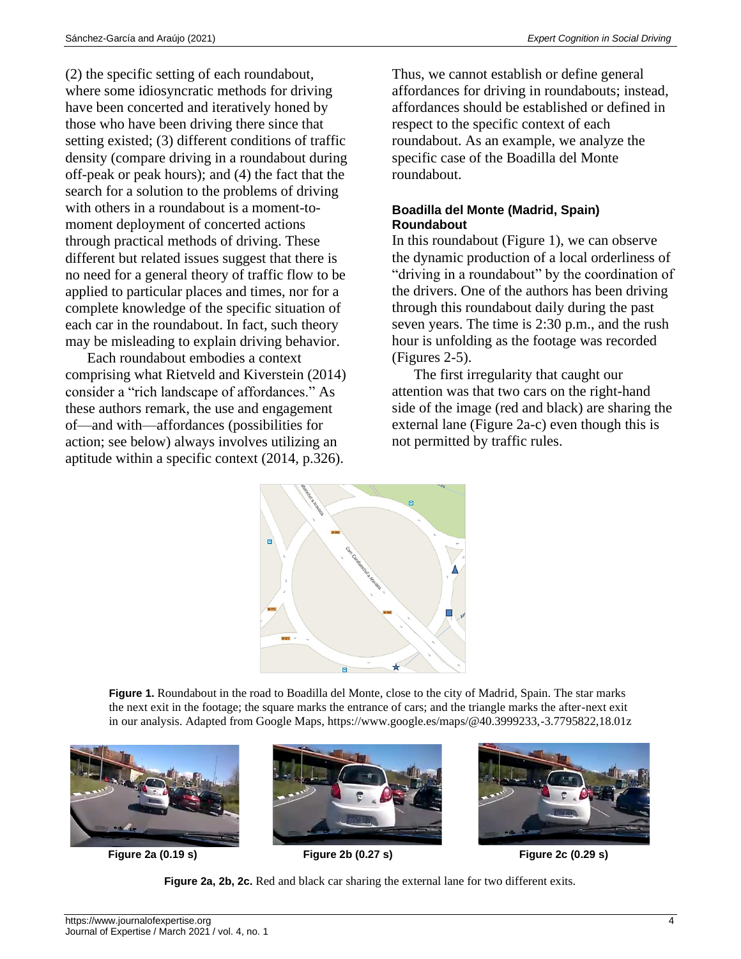(2) the specific setting of each roundabout, where some idiosyncratic methods for driving have been concerted and iteratively honed by those who have been driving there since that setting existed; (3) different conditions of traffic density (compare driving in a roundabout during off-peak or peak hours); and (4) the fact that the search for a solution to the problems of driving with others in a roundabout is a moment-tomoment deployment of concerted actions through practical methods of driving. These different but related issues suggest that there is no need for a general theory of traffic flow to be applied to particular places and times, nor for a complete knowledge of the specific situation of each car in the roundabout. In fact, such theory may be misleading to explain driving behavior.

Each roundabout embodies a context comprising what Rietveld and Kiverstein (2014) consider a "rich landscape of affordances." As these authors remark, the use and engagement of—and with—affordances (possibilities for action; see below) always involves utilizing an aptitude within a specific context (2014, p.326).

Thus, we cannot establish or define general affordances for driving in roundabouts; instead, affordances should be established or defined in respect to the specific context of each roundabout. As an example, we analyze the specific case of the Boadilla del Monte roundabout.

#### **Boadilla del Monte (Madrid, Spain) Roundabout**

In this roundabout (Figure 1), we can observe the dynamic production of a local orderliness of "driving in a roundabout" by the coordination of the drivers. One of the authors has been driving through this roundabout daily during the past seven years. The time is 2:30 p.m., and the rush hour is unfolding as the footage was recorded (Figures 2-5).

The first irregularity that caught our attention was that two cars on the right-hand side of the image (red and black) are sharing the external lane (Figure 2a-c) even though this is not permitted by traffic rules.



**Figure 1.** Roundabout in the road to Boadilla del Monte, close to the city of Madrid, Spain. The star marks the next exit in the footage; the square marks the entrance of cars; and the triangle marks the after-next exit in our analysis. Adapted from Google Maps, https://www.google.es/maps/@40.3999233,-3.7795822,18.01z



**Figure 2a (0.19 s) Figure 2b (0.27 s) Figure 2c (0.29 s)**

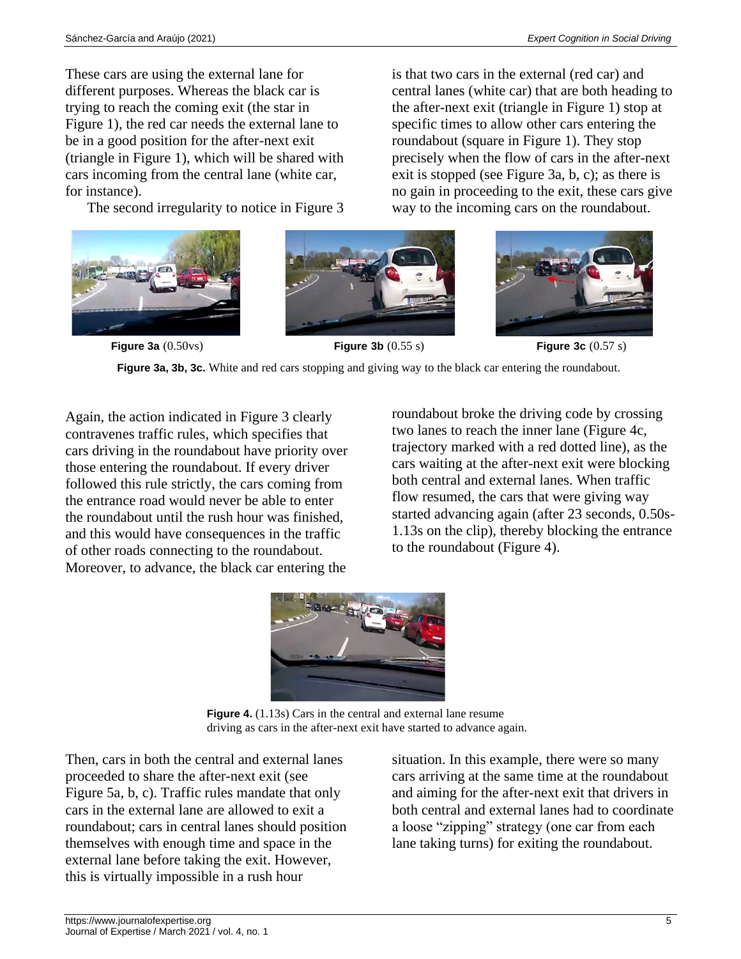These cars are using the external lane for different purposes. Whereas the black car is trying to reach the coming exit (the star in Figure 1), the red car needs the external lane to be in a good position for the after-next exit (triangle in Figure 1), which will be shared with cars incoming from the central lane (white car, for instance).

The second irregularity to notice in Figure 3







is that two cars in the external (red car) and central lanes (white car) that are both heading to the after-next exit (triangle in Figure 1) stop at specific times to allow other cars entering the roundabout (square in Figure 1). They stop precisely when the flow of cars in the after-next exit is stopped (see Figure 3a, b, c); as there is

**Figure 3a** (0.50vs) **Figure 3b** (0.55 s) **Figure 3c** (0.57 s) **Figure 3a, 3b, 3c.** White and red cars stopping and giving way to the black car entering the roundabout.

Again, the action indicated in Figure 3 clearly contravenes traffic rules, which specifies that cars driving in the roundabout have priority over those entering the roundabout. If every driver followed this rule strictly, the cars coming from the entrance road would never be able to enter the roundabout until the rush hour was finished, and this would have consequences in the traffic of other roads connecting to the roundabout. Moreover, to advance, the black car entering the

roundabout broke the driving code by crossing two lanes to reach the inner lane (Figure 4c, trajectory marked with a red dotted line), as the cars waiting at the after-next exit were blocking both central and external lanes. When traffic flow resumed, the cars that were giving way started advancing again (after 23 seconds, 0.50s-1.13s on the clip), thereby blocking the entrance to the roundabout (Figure 4).



**Figure 4.** (1.13s) Cars in the central and external lane resume driving as cars in the after-next exit have started to advance again.

Then, cars in both the central and external lanes proceeded to share the after-next exit (see Figure 5a, b, c). Traffic rules mandate that only cars in the external lane are allowed to exit a roundabout; cars in central lanes should position themselves with enough time and space in the external lane before taking the exit. However, this is virtually impossible in a rush hour

situation. In this example, there were so many cars arriving at the same time at the roundabout and aiming for the after-next exit that drivers in both central and external lanes had to coordinate a loose "zipping" strategy (one car from each lane taking turns) for exiting the roundabout.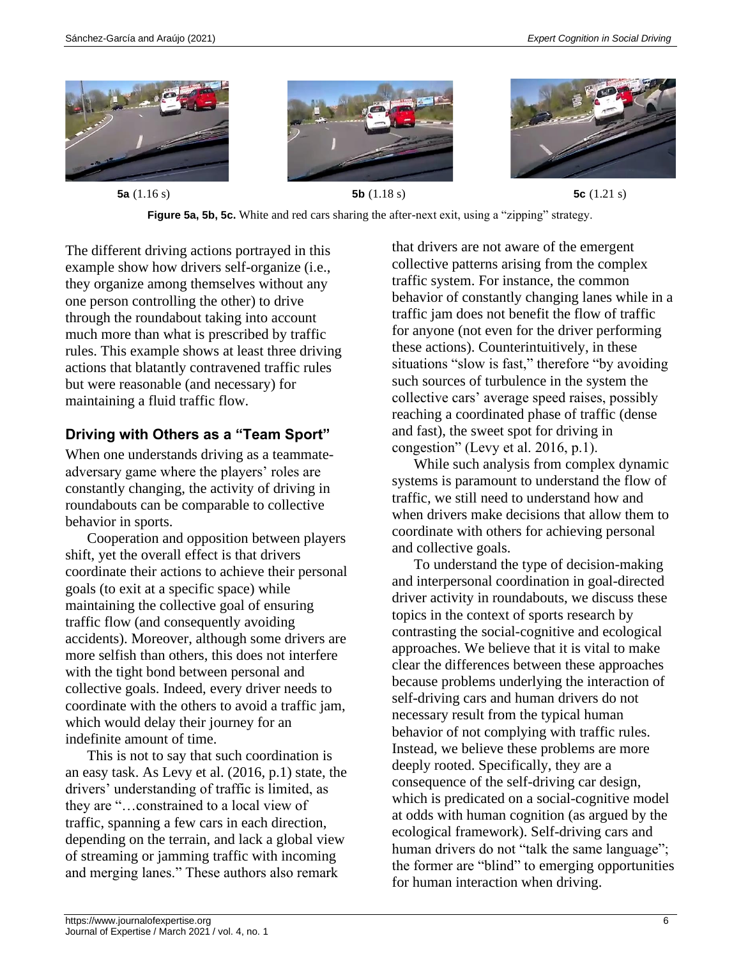



**Figure 5a, 5b, 5c.** White and red cars sharing the after-next exit, using a "zipping" strategy.

The different driving actions portrayed in this example show how drivers self-organize (i.e., they organize among themselves without any one person controlling the other) to drive through the roundabout taking into account much more than what is prescribed by traffic rules. This example shows at least three driving actions that blatantly contravened traffic rules but were reasonable (and necessary) for maintaining a fluid traffic flow.

# **Driving with Others as a "Team Sport"**

When one understands driving as a teammateadversary game where the players' roles are constantly changing, the activity of driving in roundabouts can be comparable to collective behavior in sports.

Cooperation and opposition between players shift, yet the overall effect is that drivers coordinate their actions to achieve their personal goals (to exit at a specific space) while maintaining the collective goal of ensuring traffic flow (and consequently avoiding accidents). Moreover, although some drivers are more selfish than others, this does not interfere with the tight bond between personal and collective goals. Indeed, every driver needs to coordinate with the others to avoid a traffic jam, which would delay their journey for an indefinite amount of time.

This is not to say that such coordination is an easy task. As Levy et al. (2016, p.1) state, the drivers' understanding of traffic is limited, as they are "…constrained to a local view of traffic, spanning a few cars in each direction, depending on the terrain, and lack a global view of streaming or jamming traffic with incoming and merging lanes." These authors also remark

that drivers are not aware of the emergent collective patterns arising from the complex traffic system. For instance, the common behavior of constantly changing lanes while in a traffic jam does not benefit the flow of traffic for anyone (not even for the driver performing these actions). Counterintuitively, in these situations "slow is fast," therefore "by avoiding such sources of turbulence in the system the collective cars' average speed raises, possibly reaching a coordinated phase of traffic (dense and fast), the sweet spot for driving in congestion" (Levy et al. 2016, p.1).

While such analysis from complex dynamic systems is paramount to understand the flow of traffic, we still need to understand how and when drivers make decisions that allow them to coordinate with others for achieving personal and collective goals.

To understand the type of decision-making and interpersonal coordination in goal-directed driver activity in roundabouts, we discuss these topics in the context of sports research by contrasting the social-cognitive and ecological approaches. We believe that it is vital to make clear the differences between these approaches because problems underlying the interaction of self-driving cars and human drivers do not necessary result from the typical human behavior of not complying with traffic rules. Instead, we believe these problems are more deeply rooted. Specifically, they are a consequence of the self-driving car design, which is predicated on a social-cognitive model at odds with human cognition (as argued by the ecological framework). Self-driving cars and human drivers do not "talk the same language"; the former are "blind" to emerging opportunities for human interaction when driving.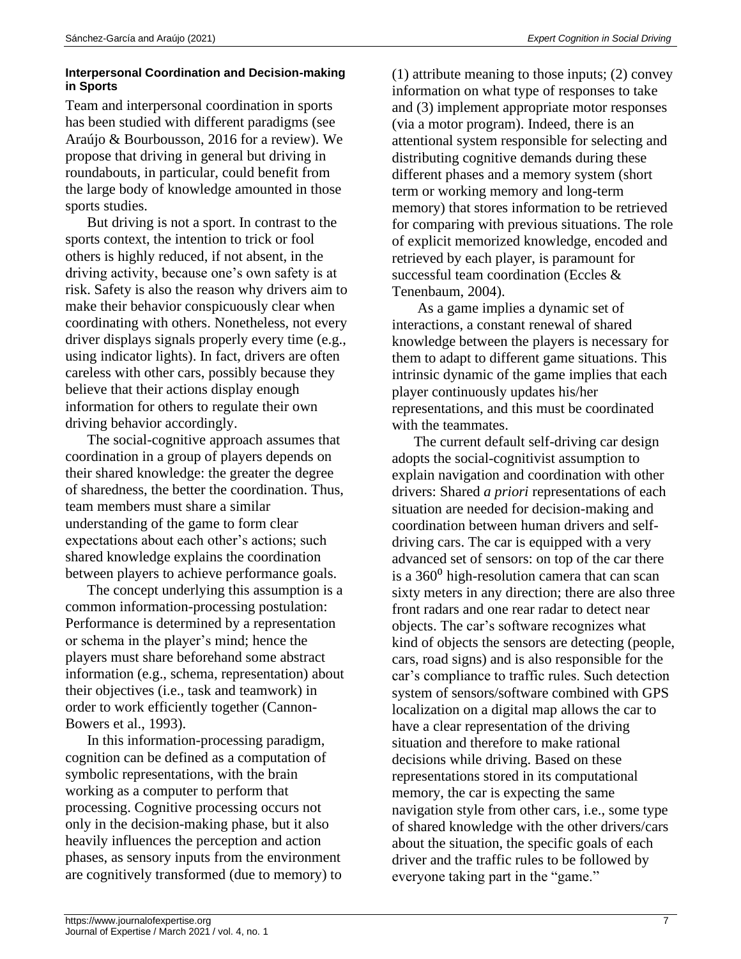#### **Interpersonal Coordination and Decision-making in Sports**

Team and interpersonal coordination in sports has been studied with different paradigms (see Araújo & Bourbousson, 2016 for a review). We propose that driving in general but driving in roundabouts, in particular, could benefit from the large body of knowledge amounted in those sports studies.

But driving is not a sport. In contrast to the sports context, the intention to trick or fool others is highly reduced, if not absent, in the driving activity, because one's own safety is at risk. Safety is also the reason why drivers aim to make their behavior conspicuously clear when coordinating with others. Nonetheless, not every driver displays signals properly every time (e.g., using indicator lights). In fact, drivers are often careless with other cars, possibly because they believe that their actions display enough information for others to regulate their own driving behavior accordingly.

The social-cognitive approach assumes that coordination in a group of players depends on their shared knowledge: the greater the degree of sharedness, the better the coordination. Thus, team members must share a similar understanding of the game to form clear expectations about each other's actions; such shared knowledge explains the coordination between players to achieve performance goals.

The concept underlying this assumption is a common information-processing postulation: Performance is determined by a representation or schema in the player's mind; hence the players must share beforehand some abstract information (e.g., schema, representation) about their objectives (i.e., task and teamwork) in order to work efficiently together (Cannon-Bowers et al., 1993).

In this information-processing paradigm, cognition can be defined as a computation of symbolic representations, with the brain working as a computer to perform that processing. Cognitive processing occurs not only in the decision-making phase, but it also heavily influences the perception and action phases, as sensory inputs from the environment are cognitively transformed (due to memory) to (1) attribute meaning to those inputs; (2) convey information on what type of responses to take and (3) implement appropriate motor responses (via a motor program). Indeed, there is an attentional system responsible for selecting and distributing cognitive demands during these different phases and a memory system (short term or working memory and long-term memory) that stores information to be retrieved for comparing with previous situations. The role of explicit memorized knowledge, encoded and retrieved by each player, is paramount for successful team coordination (Eccles & Tenenbaum, 2004).

As a game implies a dynamic set of interactions, a constant renewal of shared knowledge between the players is necessary for them to adapt to different game situations. This intrinsic dynamic of the game implies that each player continuously updates his/her representations, and this must be coordinated with the teammates.

The current default self-driving car design adopts the social-cognitivist assumption to explain navigation and coordination with other drivers: Shared *a priori* representations of each situation are needed for decision-making and coordination between human drivers and selfdriving cars. The car is equipped with a very advanced set of sensors: on top of the car there is a  $360^{\circ}$  high-resolution camera that can scan sixty meters in any direction; there are also three front radars and one rear radar to detect near objects. The car's software recognizes what kind of objects the sensors are detecting (people, cars, road signs) and is also responsible for the car's compliance to traffic rules. Such detection system of sensors/software combined with GPS localization on a digital map allows the car to have a clear representation of the driving situation and therefore to make rational decisions while driving. Based on these representations stored in its computational memory, the car is expecting the same navigation style from other cars, i.e., some type of shared knowledge with the other drivers/cars about the situation, the specific goals of each driver and the traffic rules to be followed by everyone taking part in the "game."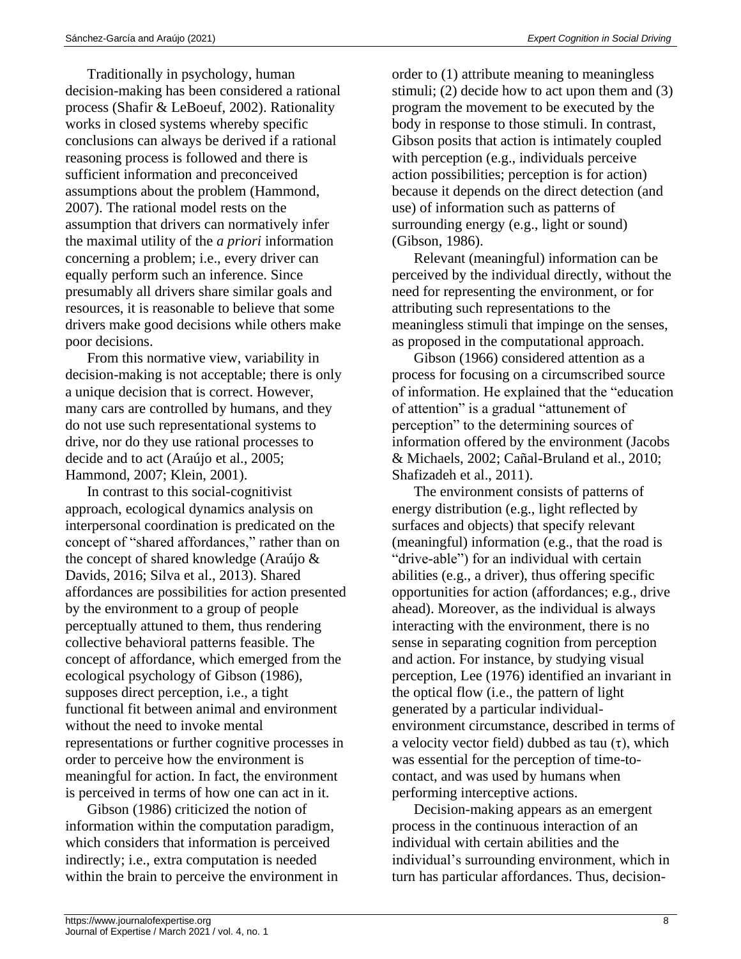Traditionally in psychology, human decision-making has been considered a rational process (Shafir & LeBoeuf, 2002). Rationality works in closed systems whereby specific conclusions can always be derived if a rational reasoning process is followed and there is sufficient information and preconceived assumptions about the problem (Hammond, 2007). The rational model rests on the assumption that drivers can normatively infer the maximal utility of the *a priori* information concerning a problem; i.e., every driver can equally perform such an inference. Since presumably all drivers share similar goals and resources, it is reasonable to believe that some drivers make good decisions while others make poor decisions.

From this normative view, variability in decision-making is not acceptable; there is only a unique decision that is correct. However, many cars are controlled by humans, and they do not use such representational systems to drive, nor do they use rational processes to decide and to act (Araújo et al., 2005; Hammond, 2007; Klein, 2001).

In contrast to this social-cognitivist approach, ecological dynamics analysis on interpersonal coordination is predicated on the concept of "shared affordances," rather than on the concept of shared knowledge (Araújo & Davids, 2016; Silva et al., 2013). Shared affordances are possibilities for action presented by the environment to a group of people perceptually attuned to them, thus rendering collective behavioral patterns feasible. The concept of affordance, which emerged from the ecological psychology of Gibson (1986), supposes direct perception, i.e., a tight functional fit between animal and environment without the need to invoke mental representations or further cognitive processes in order to perceive how the environment is meaningful for action. In fact, the environment is perceived in terms of how one can act in it.

Gibson (1986) criticized the notion of information within the computation paradigm, which considers that information is perceived indirectly; i.e., extra computation is needed within the brain to perceive the environment in order to (1) attribute meaning to meaningless stimuli; (2) decide how to act upon them and (3) program the movement to be executed by the body in response to those stimuli. In contrast, Gibson posits that action is intimately coupled with perception (e.g., individuals perceive action possibilities; perception is for action) because it depends on the direct detection (and use) of information such as patterns of surrounding energy (e.g., light or sound) (Gibson, 1986).

Relevant (meaningful) information can be perceived by the individual directly, without the need for representing the environment, or for attributing such representations to the meaningless stimuli that impinge on the senses, as proposed in the computational approach.

Gibson (1966) considered attention as a process for focusing on a circumscribed source of information. He explained that the "education of attention" is a gradual "attunement of perception" to the determining sources of information offered by the environment (Jacobs & Michaels, 2002; Cañal-Bruland et al., 2010; Shafizadeh et al., 2011).

The environment consists of patterns of energy distribution (e.g., light reflected by surfaces and objects) that specify relevant (meaningful) information (e.g., that the road is "drive-able") for an individual with certain abilities (e.g., a driver), thus offering specific opportunities for action (affordances; e.g., drive ahead). Moreover, as the individual is always interacting with the environment, there is no sense in separating cognition from perception and action. For instance, by studying visual perception, Lee (1976) identified an invariant in the optical flow (i.e., the pattern of light generated by a particular individualenvironment circumstance, described in terms of a velocity vector field) dubbed as tau  $(\tau)$ , which was essential for the perception of time-tocontact, and was used by humans when performing interceptive actions.

Decision-making appears as an emergent process in the continuous interaction of an individual with certain abilities and the individual's surrounding environment, which in turn has particular affordances. Thus, decision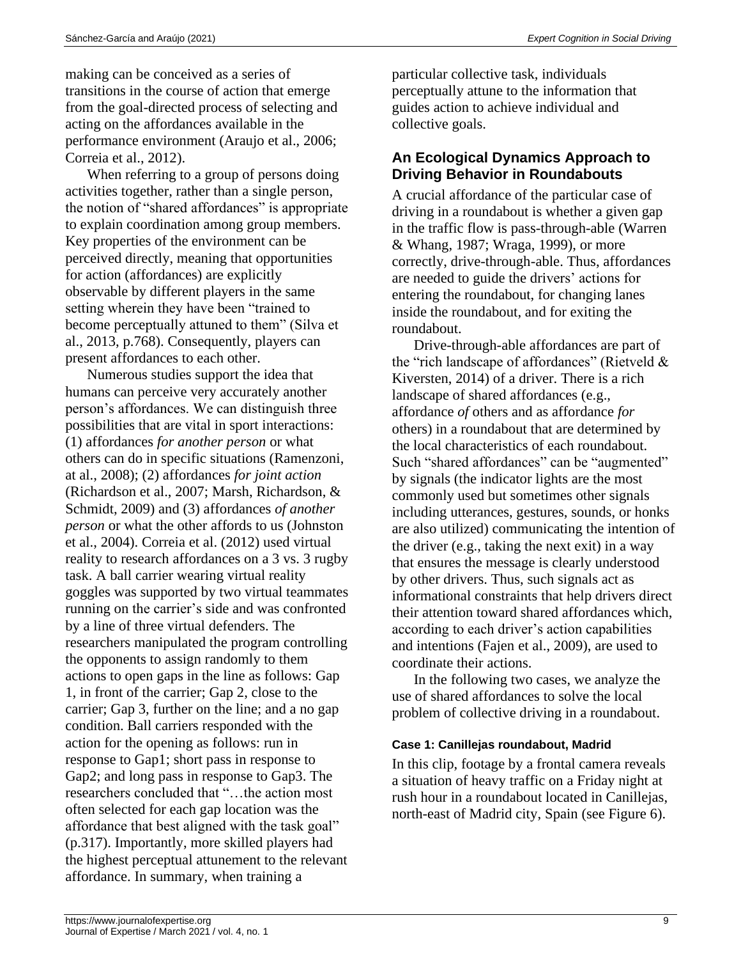making can be conceived as a series of transitions in the course of action that emerge from the goal-directed process of selecting and acting on the affordances available in the performance environment (Araujo et al., 2006; Correia et al., 2012).

When referring to a group of persons doing activities together, rather than a single person, the notion of "shared affordances" is appropriate to explain coordination among group members. Key properties of the environment can be perceived directly, meaning that opportunities for action (affordances) are explicitly observable by different players in the same setting wherein they have been "trained to become perceptually attuned to them" (Silva et al., 2013, p.768). Consequently, players can present affordances to each other.

Numerous studies support the idea that humans can perceive very accurately another person's affordances. We can distinguish three possibilities that are vital in sport interactions: (1) affordances *for another person* or what others can do in specific situations (Ramenzoni, at al., 2008); (2) affordances *for joint action* (Richardson et al., 2007; Marsh, Richardson, & Schmidt, 2009) and (3) affordances *of another person* or what the other affords to us (Johnston et al., 2004). Correia et al. (2012) used virtual reality to research affordances on a 3 vs. 3 rugby task. A ball carrier wearing virtual reality goggles was supported by two virtual teammates running on the carrier's side and was confronted by a line of three virtual defenders. The researchers manipulated the program controlling the opponents to assign randomly to them actions to open gaps in the line as follows: Gap 1, in front of the carrier; Gap 2, close to the carrier; Gap 3, further on the line; and a no gap condition. Ball carriers responded with the action for the opening as follows: run in response to Gap1; short pass in response to Gap2; and long pass in response to Gap3. The researchers concluded that "…the action most often selected for each gap location was the affordance that best aligned with the task goal" (p.317). Importantly, more skilled players had the highest perceptual attunement to the relevant affordance. In summary, when training a

particular collective task, individuals perceptually attune to the information that guides action to achieve individual and collective goals.

# **An Ecological Dynamics Approach to Driving Behavior in Roundabouts**

A crucial affordance of the particular case of driving in a roundabout is whether a given gap in the traffic flow is pass-through-able (Warren & Whang, 1987; Wraga, 1999), or more correctly, drive-through-able. Thus, affordances are needed to guide the drivers' actions for entering the roundabout, for changing lanes inside the roundabout, and for exiting the roundabout.

Drive-through-able affordances are part of the "rich landscape of affordances" (Rietveld  $\&$ Kiversten, 2014) of a driver. There is a rich landscape of shared affordances (e.g., affordance *of* others and as affordance *for* others) in a roundabout that are determined by the local characteristics of each roundabout. Such "shared affordances" can be "augmented" by signals (the indicator lights are the most commonly used but sometimes other signals including utterances, gestures, sounds, or honks are also utilized) communicating the intention of the driver (e.g., taking the next exit) in a way that ensures the message is clearly understood by other drivers. Thus, such signals act as informational constraints that help drivers direct their attention toward shared affordances which, according to each driver's action capabilities and intentions (Fajen et al., 2009), are used to coordinate their actions.

In the following two cases, we analyze the use of shared affordances to solve the local problem of collective driving in a roundabout.

### **Case 1: Canillejas roundabout, Madrid**

In this clip, footage by a frontal camera reveals a situation of heavy traffic on a Friday night at rush hour in a roundabout located in Canillejas, north-east of Madrid city, Spain (see Figure 6).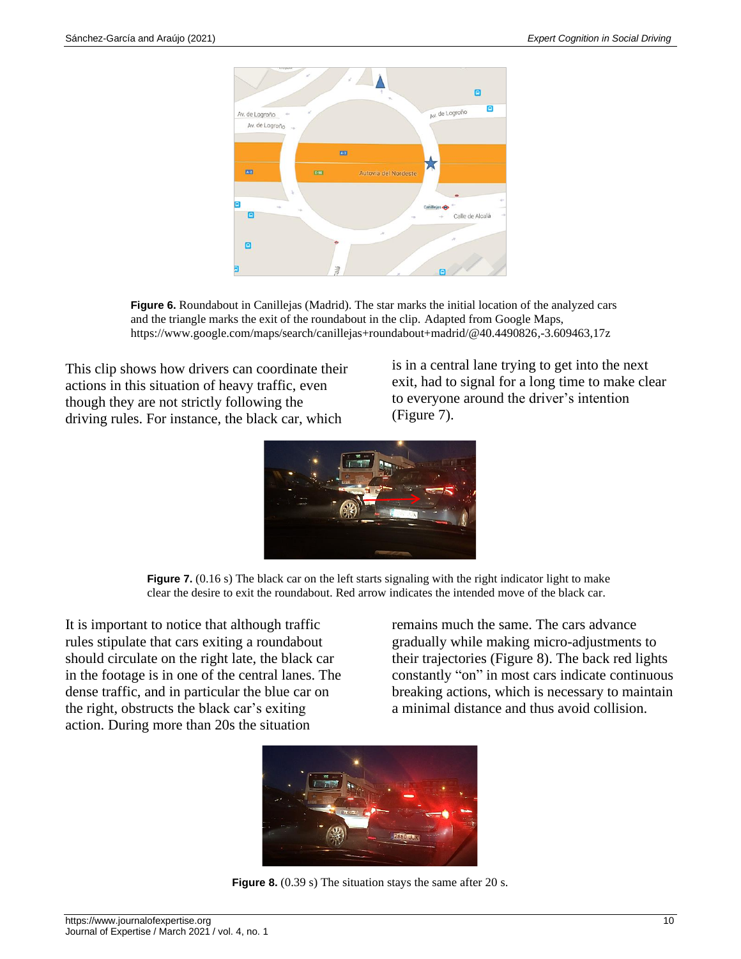

**Figure 6.** Roundabout in Canillejas (Madrid). The star marks the initial location of the analyzed cars and the triangle marks the exit of the roundabout in the clip. Adapted from Google Maps, https://www.google.com/maps/search/canillejas+roundabout+madrid/@40.4490826,-3.609463,17z

This clip shows how drivers can coordinate their actions in this situation of heavy traffic, even though they are not strictly following the driving rules. For instance, the black car, which

is in a central lane trying to get into the next exit, had to signal for a long time to make clear to everyone around the driver's intention (Figure 7).





It is important to notice that although traffic rules stipulate that cars exiting a roundabout should circulate on the right late, the black car in the footage is in one of the central lanes. The dense traffic, and in particular the blue car on the right, obstructs the black car's exiting action. During more than 20s the situation

remains much the same. The cars advance gradually while making micro-adjustments to their trajectories (Figure 8). The back red lights constantly "on" in most cars indicate continuous breaking actions, which is necessary to maintain a minimal distance and thus avoid collision.



**Figure 8.** (0.39 s) The situation stays the same after 20 s.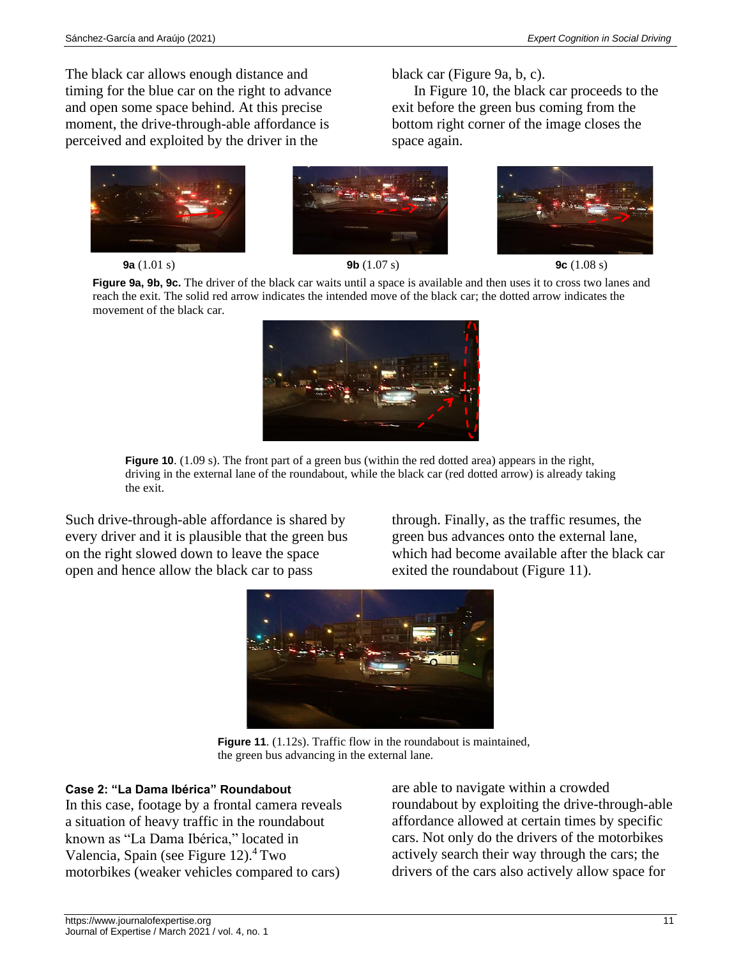The black car allows enough distance and timing for the blue car on the right to advance and open some space behind. At this precise moment, the drive-through-able affordance is perceived and exploited by the driver in the







black car (Figure 9a, b, c).

space again.



In Figure 10, the black car proceeds to the

exit before the green bus coming from the bottom right corner of the image closes the

**Figure 9a, 9b, 9c.** The driver of the black car waits until a space is available and then uses it to cross two lanes and reach the exit. The solid red arrow indicates the intended move of the black car; the dotted arrow indicates the movement of the black car.



**Figure 10.** (1.09 s). The front part of a green bus (within the red dotted area) appears in the right, driving in the external lane of the roundabout, while the black car (red dotted arrow) is already taking the exit.

Such drive-through-able affordance is shared by every driver and it is plausible that the green bus on the right slowed down to leave the space open and hence allow the black car to pass

through. Finally, as the traffic resumes, the green bus advances onto the external lane, which had become available after the black car exited the roundabout (Figure 11).



**Figure 11.** (1.12s). Traffic flow in the roundabout is maintained, the green bus advancing in the external lane.

### **Case 2: "La Dama Ibérica" Roundabout**

In this case, footage by a frontal camera reveals a situation of heavy traffic in the roundabout known as "La Dama Ibérica," located in Valencia, Spain (see Figure 12). $4$  Two motorbikes (weaker vehicles compared to cars)

are able to navigate within a crowded roundabout by exploiting the drive-through-able affordance allowed at certain times by specific cars. Not only do the drivers of the motorbikes actively search their way through the cars; the drivers of the cars also actively allow space for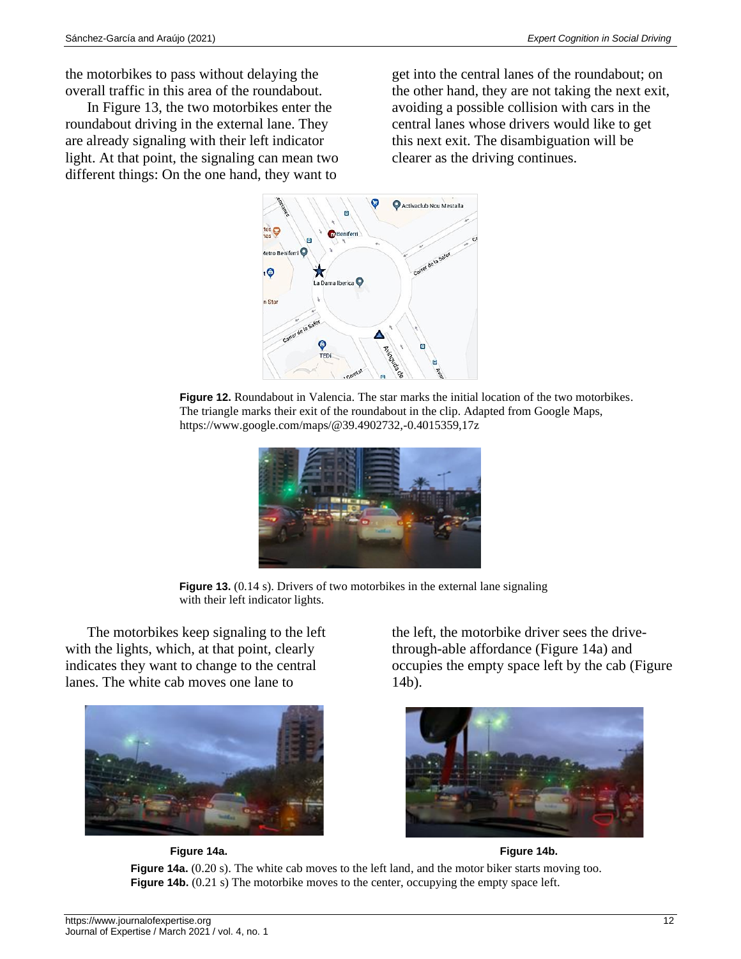the motorbikes to pass without delaying the overall traffic in this area of the roundabout.

In Figure 13, the two motorbikes enter the roundabout driving in the external lane. They are already signaling with their left indicator light. At that point, the signaling can mean two different things: On the one hand, they want to

get into the central lanes of the roundabout; on the other hand, they are not taking the next exit, avoiding a possible collision with cars in the central lanes whose drivers would like to get this next exit. The disambiguation will be clearer as the driving continues.



**Figure 12.** Roundabout in Valencia. The star marks the initial location of the two motorbikes. The triangle marks their exit of the roundabout in the clip. Adapted from Google Maps, https://www.google.com/maps/@39.4902732,-0.4015359,17z



**Figure 13.** (0.14 s). Drivers of two motorbikes in the external lane signaling with their left indicator lights.

The motorbikes keep signaling to the left with the lights, which, at that point, clearly indicates they want to change to the central lanes. The white cab moves one lane to



 **Figure 14a. Figure 14b.**

the left, the motorbike driver sees the drivethrough-able affordance (Figure 14a) and occupies the empty space left by the cab (Figure 14b).



**Figure 14a.** (0.20 s). The white cab moves to the left land, and the motor biker starts moving too. **Figure 14b.** (0.21 s) The motorbike moves to the center, occupying the empty space left.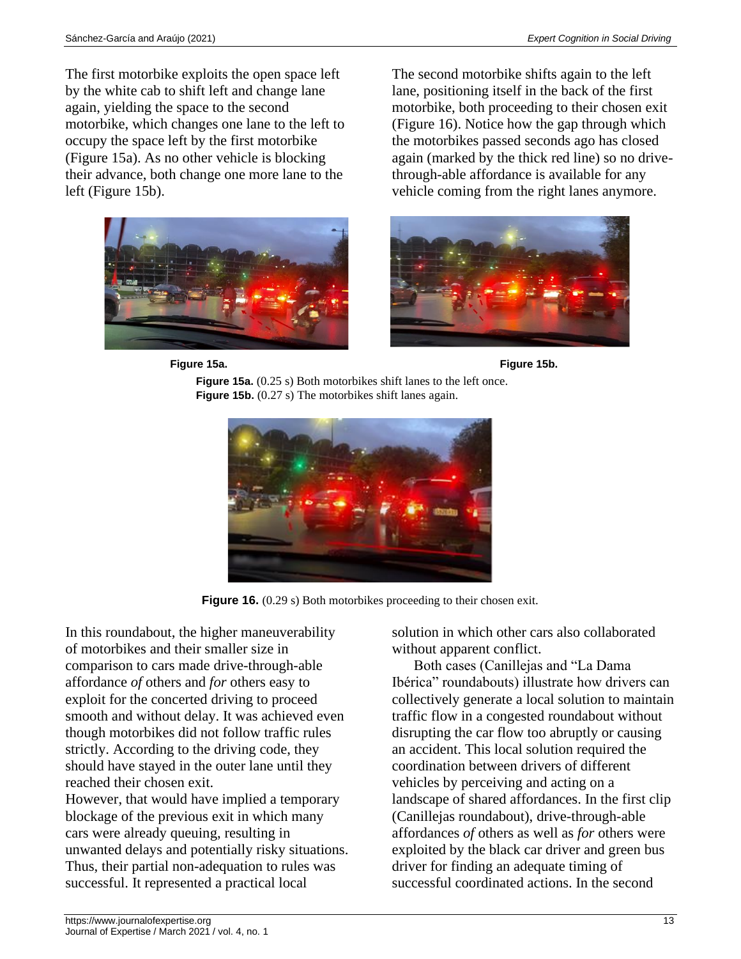The first motorbike exploits the open space left by the white cab to shift left and change lane again, yielding the space to the second motorbike, which changes one lane to the left to occupy the space left by the first motorbike (Figure 15a). As no other vehicle is blocking their advance, both change one more lane to the left (Figure 15b).



The second motorbike shifts again to the left lane, positioning itself in the back of the first motorbike, both proceeding to their chosen exit (Figure 16). Notice how the gap through which the motorbikes passed seconds ago has closed again (marked by the thick red line) so no drivethrough-able affordance is available for any vehicle coming from the right lanes anymore.









**Figure 16.** (0.29 s) Both motorbikes proceeding to their chosen exit.

In this roundabout, the higher maneuverability of motorbikes and their smaller size in comparison to cars made drive-through-able affordance *of* others and *for* others easy to exploit for the concerted driving to proceed smooth and without delay. It was achieved even though motorbikes did not follow traffic rules strictly. According to the driving code, they should have stayed in the outer lane until they reached their chosen exit.

However, that would have implied a temporary blockage of the previous exit in which many cars were already queuing, resulting in unwanted delays and potentially risky situations. Thus, their partial non-adequation to rules was successful. It represented a practical local

solution in which other cars also collaborated without apparent conflict.

Both cases (Canillejas and "La Dama Ibérica" roundabouts) illustrate how drivers can collectively generate a local solution to maintain traffic flow in a congested roundabout without disrupting the car flow too abruptly or causing an accident. This local solution required the coordination between drivers of different vehicles by perceiving and acting on a landscape of shared affordances. In the first clip (Canillejas roundabout), drive-through-able affordances *of* others as well as *for* others were exploited by the black car driver and green bus driver for finding an adequate timing of successful coordinated actions. In the second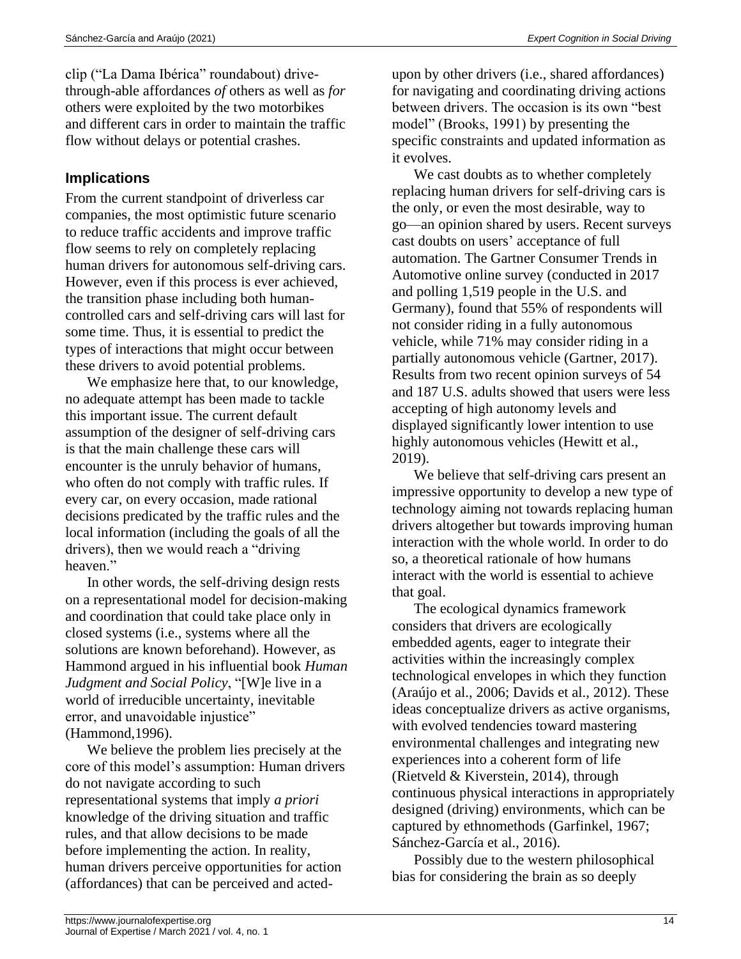clip ("La Dama Ibérica" roundabout) drivethrough-able affordances *of* others as well as *for* others were exploited by the two motorbikes and different cars in order to maintain the traffic flow without delays or potential crashes.

# **Implications**

From the current standpoint of driverless car companies, the most optimistic future scenario to reduce traffic accidents and improve traffic flow seems to rely on completely replacing human drivers for autonomous self-driving cars. However, even if this process is ever achieved, the transition phase including both humancontrolled cars and self-driving cars will last for some time. Thus, it is essential to predict the types of interactions that might occur between these drivers to avoid potential problems.

We emphasize here that, to our knowledge, no adequate attempt has been made to tackle this important issue. The current default assumption of the designer of self-driving cars is that the main challenge these cars will encounter is the unruly behavior of humans, who often do not comply with traffic rules. If every car, on every occasion, made rational decisions predicated by the traffic rules and the local information (including the goals of all the drivers), then we would reach a "driving heaven."

In other words, the self-driving design rests on a representational model for decision-making and coordination that could take place only in closed systems (i.e., systems where all the solutions are known beforehand). However, as Hammond argued in his influential book *Human Judgment and Social Policy*, "[W]e live in a world of irreducible uncertainty, inevitable error, and unavoidable injustice" (Hammond,1996).

We believe the problem lies precisely at the core of this model's assumption: Human drivers do not navigate according to such representational systems that imply *a priori* knowledge of the driving situation and traffic rules, and that allow decisions to be made before implementing the action. In reality, human drivers perceive opportunities for action (affordances) that can be perceived and actedupon by other drivers (i.e., shared affordances) for navigating and coordinating driving actions between drivers. The occasion is its own "best model" (Brooks, 1991) by presenting the specific constraints and updated information as it evolves.

We cast doubts as to whether completely replacing human drivers for self-driving cars is the only, or even the most desirable, way to go—an opinion shared by users. Recent surveys cast doubts on users' acceptance of full automation. The Gartner Consumer Trends in Automotive online survey (conducted in 2017 and polling 1,519 people in the U.S. and Germany), found that 55% of respondents will not consider riding in a fully autonomous vehicle, while 71% may consider riding in a partially autonomous vehicle (Gartner, 2017). Results from two recent opinion surveys of 54 and 187 U.S. adults showed that users were less accepting of high autonomy levels and displayed significantly lower intention to use highly autonomous vehicles (Hewitt et al., 2019).

We believe that self-driving cars present an impressive opportunity to develop a new type of technology aiming not towards replacing human drivers altogether but towards improving human interaction with the whole world. In order to do so, a theoretical rationale of how humans interact with the world is essential to achieve that goal.

The ecological dynamics framework considers that drivers are ecologically embedded agents, eager to integrate their activities within the increasingly complex technological envelopes in which they function (Araújo et al., 2006; Davids et al., 2012). These ideas conceptualize drivers as active organisms, with evolved tendencies toward mastering environmental challenges and integrating new experiences into a coherent form of life (Rietveld & Kiverstein, 2014), through continuous physical interactions in appropriately designed (driving) environments, which can be captured by ethnomethods (Garfinkel, 1967; Sánchez-García et al., 2016).

Possibly due to the western philosophical bias for considering the brain as so deeply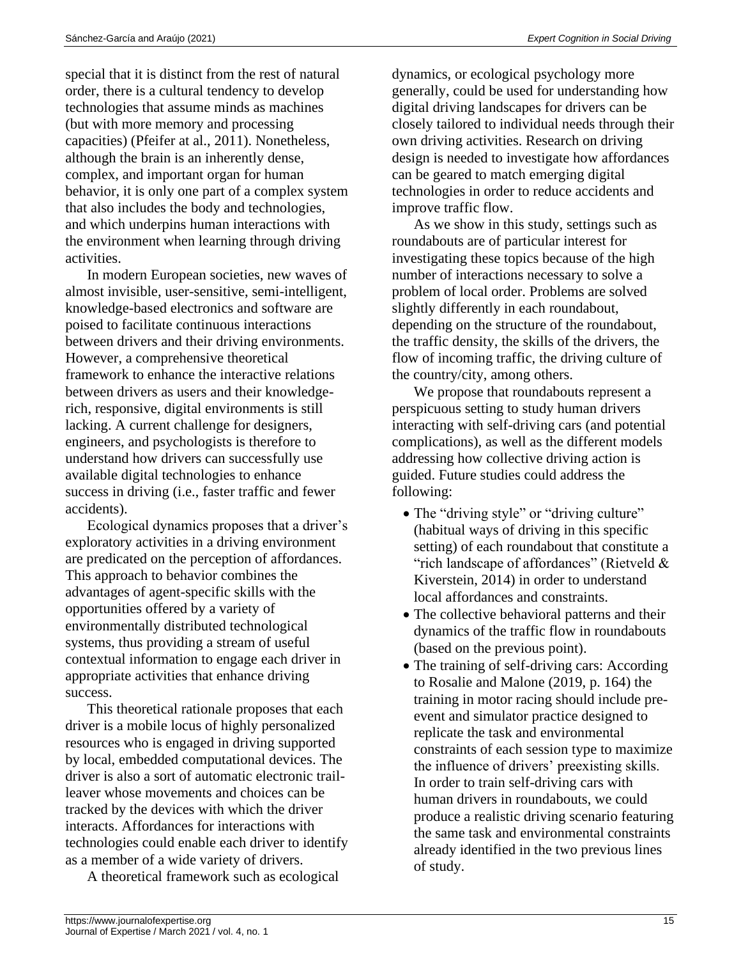special that it is distinct from the rest of natural order, there is a cultural tendency to develop technologies that assume minds as machines (but with more memory and processing capacities) (Pfeifer at al., 2011). Nonetheless, although the brain is an inherently dense, complex, and important organ for human behavior, it is only one part of a complex system that also includes the body and technologies, and which underpins human interactions with the environment when learning through driving activities.

In modern European societies, new waves of almost invisible, user-sensitive, semi-intelligent, knowledge-based electronics and software are poised to facilitate continuous interactions between drivers and their driving environments. However, a comprehensive theoretical framework to enhance the interactive relations between drivers as users and their knowledgerich, responsive, digital environments is still lacking. A current challenge for designers, engineers, and psychologists is therefore to understand how drivers can successfully use available digital technologies to enhance success in driving (i.e., faster traffic and fewer accidents).

Ecological dynamics proposes that a driver's exploratory activities in a driving environment are predicated on the perception of affordances. This approach to behavior combines the advantages of agent-specific skills with the opportunities offered by a variety of environmentally distributed technological systems, thus providing a stream of useful contextual information to engage each driver in appropriate activities that enhance driving success.

This theoretical rationale proposes that each driver is a mobile locus of highly personalized resources who is engaged in driving supported by local, embedded computational devices. The driver is also a sort of automatic electronic trailleaver whose movements and choices can be tracked by the devices with which the driver interacts. Affordances for interactions with technologies could enable each driver to identify as a member of a wide variety of drivers.

A theoretical framework such as ecological

dynamics, or ecological psychology more generally, could be used for understanding how digital driving landscapes for drivers can be closely tailored to individual needs through their own driving activities. Research on driving design is needed to investigate how affordances can be geared to match emerging digital technologies in order to reduce accidents and improve traffic flow.

As we show in this study, settings such as roundabouts are of particular interest for investigating these topics because of the high number of interactions necessary to solve a problem of local order. Problems are solved slightly differently in each roundabout, depending on the structure of the roundabout, the traffic density, the skills of the drivers, the flow of incoming traffic, the driving culture of the country/city, among others.

We propose that roundabouts represent a perspicuous setting to study human drivers interacting with self-driving cars (and potential complications), as well as the different models addressing how collective driving action is guided. Future studies could address the following:

- The "driving style" or "driving culture" (habitual ways of driving in this specific setting) of each roundabout that constitute a "rich landscape of affordances" (Rietveld & Kiverstein, 2014) in order to understand local affordances and constraints.
- The collective behavioral patterns and their dynamics of the traffic flow in roundabouts (based on the previous point).
- The training of self-driving cars: According to Rosalie and Malone (2019, p. 164) the training in motor racing should include preevent and simulator practice designed to replicate the task and environmental constraints of each session type to maximize the influence of drivers' preexisting skills. In order to train self-driving cars with human drivers in roundabouts, we could produce a realistic driving scenario featuring the same task and environmental constraints already identified in the two previous lines of study.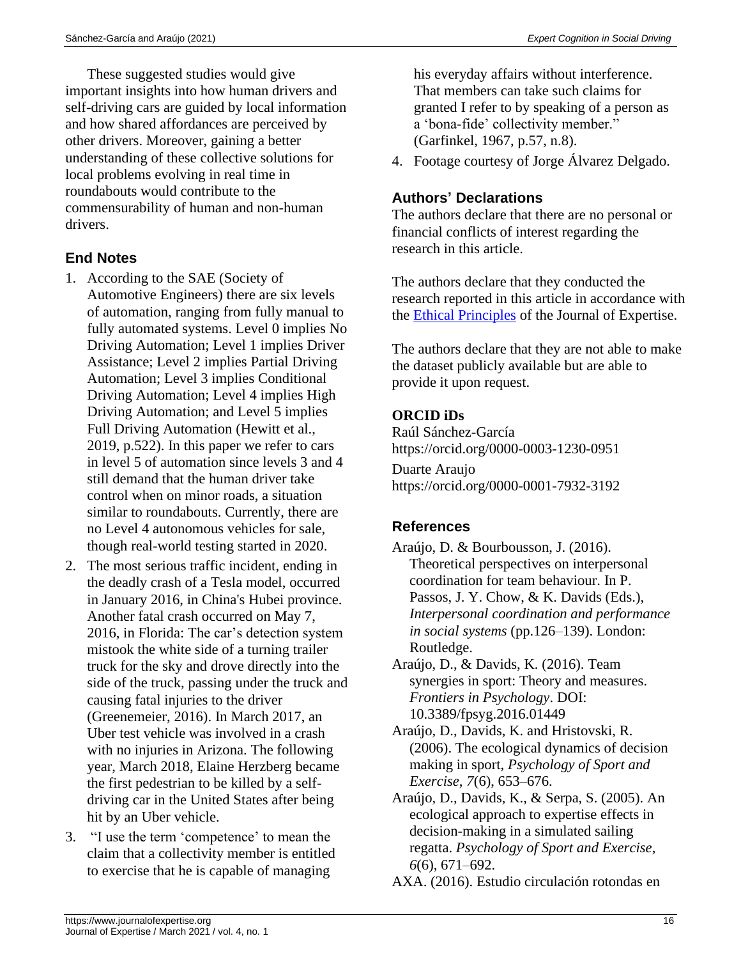These suggested studies would give important insights into how human drivers and self-driving cars are guided by local information and how shared affordances are perceived by other drivers. Moreover, gaining a better understanding of these collective solutions for local problems evolving in real time in roundabouts would contribute to the commensurability of human and non-human drivers.

# **End Notes**

- 1. According to the SAE (Society of Automotive Engineers) there are six levels of automation, ranging from fully manual to fully automated systems. Level 0 implies No Driving Automation; Level 1 implies Driver Assistance; Level 2 implies Partial Driving Automation; Level 3 implies Conditional Driving Automation; Level 4 implies High Driving Automation; and Level 5 implies Full Driving Automation (Hewitt et al., 2019, p.522). In this paper we refer to cars in level 5 of automation since levels 3 and 4 still demand that the human driver take control when on minor roads, a situation similar to roundabouts. Currently, there are no Level 4 autonomous vehicles for sale, though real-world testing started in 2020.
- 2. The most serious traffic incident, ending in the deadly crash of a Tesla model, occurred in January 2016, in China's Hubei province. Another fatal crash occurred on May 7, 2016, in Florida: The car's detection system mistook the white side of a turning trailer truck for the sky and drove directly into the side of the truck, passing under the truck and causing fatal injuries to the driver (Greenemeier, 2016). In March 2017, an Uber test vehicle was involved in a crash with no injuries in Arizona. The following year, March 2018, Elaine Herzberg became the first pedestrian to be killed by a selfdriving car in the United States after being hit by an Uber vehicle.
- 3. "I use the term 'competence' to mean the claim that a collectivity member is entitled to exercise that he is capable of managing

his everyday affairs without interference. That members can take such claims for granted I refer to by speaking of a person as a 'bona-fide' collectivity member." (Garfinkel, 1967, p.57, n.8).

4. Footage courtesy of Jorge Álvarez Delgado.

# **Authors' Declarations**

The authors declare that there are no personal or financial conflicts of interest regarding the research in this article.

The authors declare that they conducted the research reported in this article in accordance with the [Ethical Principles](https://www.journalofexpertise.org/manuscript_submission.html) of the Journal of Expertise.

The authors declare that they are not able to make the dataset publicly available but are able to provide it upon request.

### **ORCID iDs**

Raúl Sánchez-García https://orcid.org/0000-0003-1230-0951 Duarte Araujo https://orcid.org/0000-0001-7932-3192

### **References**

- Araújo, D. & Bourbousson, J. (2016). Theoretical perspectives on interpersonal coordination for team behaviour. In P. Passos, J. Y. Chow, & K. Davids (Eds.), *Interpersonal coordination and performance in social systems* (pp.126–139). London: Routledge.
- Araújo, D., & Davids, K. (2016). Team synergies in sport: Theory and measures. *Frontiers in Psychology*. DOI: 10.3389/fpsyg.2016.01449
- Araújo, D., Davids, K. and Hristovski, R. (2006). The ecological dynamics of decision making in sport, *Psychology of Sport and Exercise*, *7*(6), 653–676.
- Araújo, D., Davids, K., & Serpa, S. (2005). An ecological approach to expertise effects in decision-making in a simulated sailing regatta. *Psychology of Sport and Exercise*, *6*(6), 671–692.

AXA. (2016). Estudio circulación rotondas en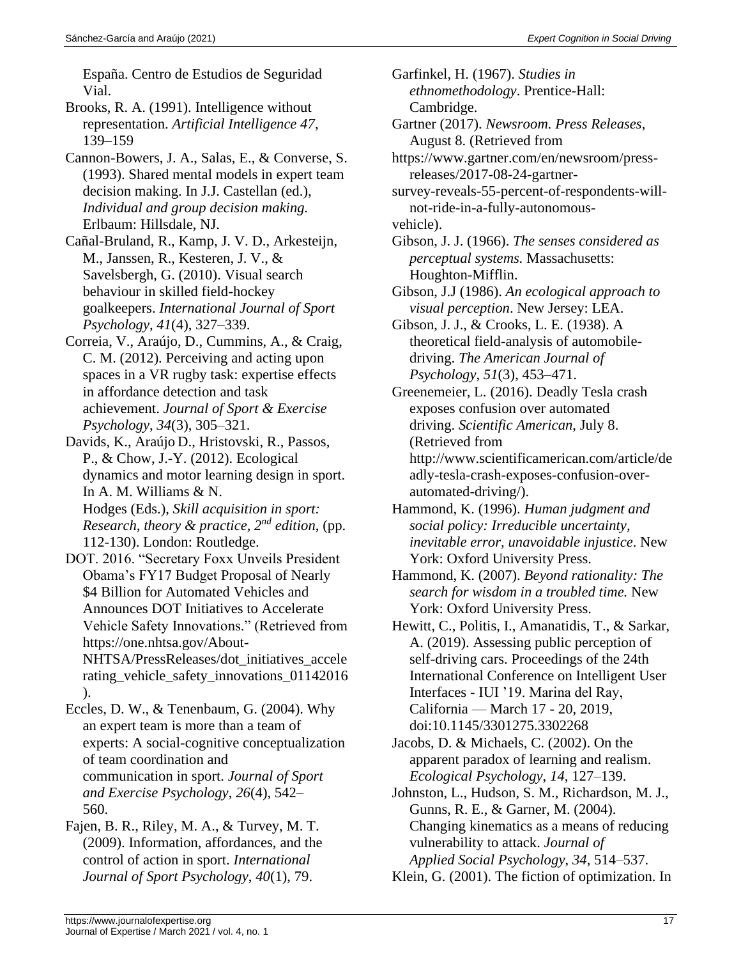España. Centro de Estudios de Seguridad Vial.

- Brooks, R. A. (1991). Intelligence without representation. *Artificial Intelligence 47*, 139–159
- Cannon-Bowers, J. A., Salas, E., & Converse, S. (1993). Shared mental models in expert team decision making. In J.J. Castellan (ed.), *Individual and group decision making.*  Erlbaum: Hillsdale, NJ.
- Cañal-Bruland, R., Kamp, J. V. D., Arkesteijn, M., Janssen, R., Kesteren, J. V., & Savelsbergh, G. (2010). Visual search behaviour in skilled field-hockey goalkeepers. *International Journal of Sport Psychology*, *41*(4), 327–339.
- Correia, V., Araújo, D., Cummins, A., & Craig, C. M. (2012). Perceiving and acting upon spaces in a VR rugby task: expertise effects in affordance detection and task achievement. *Journal of Sport & Exercise Psychology*, *34*(3), 305–321.
- Davids, K., Araújo D., Hristovski, R., Passos, P., & Chow, J.-Y. (2012). Ecological dynamics and motor learning design in sport. In A. M. Williams & N. Hodges (Eds.), *Skill acquisition in sport: Research, theory & practice, 2nd edition*, (pp. 112-130). London: Routledge.
- DOT. 2016. "Secretary Foxx Unveils President Obama's FY17 Budget Proposal of Nearly \$4 Billion for Automated Vehicles and Announces DOT Initiatives to Accelerate Vehicle Safety Innovations." (Retrieved from https://one.nhtsa.gov/About-NHTSA/PressReleases/dot\_initiatives\_accele rating\_vehicle\_safety\_innovations\_01142016 ).

Eccles, D. W., & Tenenbaum, G. (2004). Why an expert team is more than a team of experts: A social-cognitive conceptualization of team coordination and communication in sport. *Journal of Sport and Exercise Psychology*, *26*(4), 542– 560.

Fajen, B. R., Riley, M. A., & Turvey, M. T. (2009). Information, affordances, and the control of action in sport. *International Journal of Sport Psychology*, *40*(1), 79.

Gartner (2017). *Newsroom. Press Releases*, August 8. (Retrieved from

https://www.gartner.com/en/newsroom/pressreleases/2017-08-24-gartner-

survey-reveals-55-percent-of-respondents-willnot-ride-in-a-fully-autonomousvehicle).

- Gibson, J. J. (1966). *The senses considered as perceptual systems.* Massachusetts: Houghton-Mifflin.
- Gibson, J.J (1986). *An ecological approach to visual perception*. New Jersey: LEA.

Gibson, J. J., & Crooks, L. E. (1938). A theoretical field-analysis of automobiledriving. *The American Journal of Psychology*, *51*(3), 453–471.

- Greenemeier, L. (2016). Deadly Tesla crash exposes confusion over automated driving. *Scientific American*, July 8. (Retrieved from http://www.scientificamerican.com/article/de adly-tesla-crash-exposes-confusion-overautomated-driving/).
- Hammond, K. (1996). *Human judgment and social policy: Irreducible uncertainty, inevitable error, unavoidable injustice*. New York: Oxford University Press.
- Hammond, K. (2007). *Beyond rationality: The search for wisdom in a troubled time.* New York: Oxford University Press.
- Hewitt, C., Politis, I., Amanatidis, T., & Sarkar, A. (2019). Assessing public perception of self-driving cars. Proceedings of the 24th International Conference on Intelligent User Interfaces - IUI '19. Marina del Ray, California — March 17 - 20, 2019, doi:10.1145/3301275.3302268
- Jacobs, D. & Michaels, C. (2002). On the apparent paradox of learning and realism. *Ecological Psychology*, *14*, 127–139.
- Johnston, L., Hudson, S. M., Richardson, M. J., Gunns, R. E., & Garner, M. (2004). Changing kinematics as a means of reducing vulnerability to attack. *Journal of Applied Social Psychology*, *34*, 514–537.

Klein, G. (2001). The fiction of optimization. In